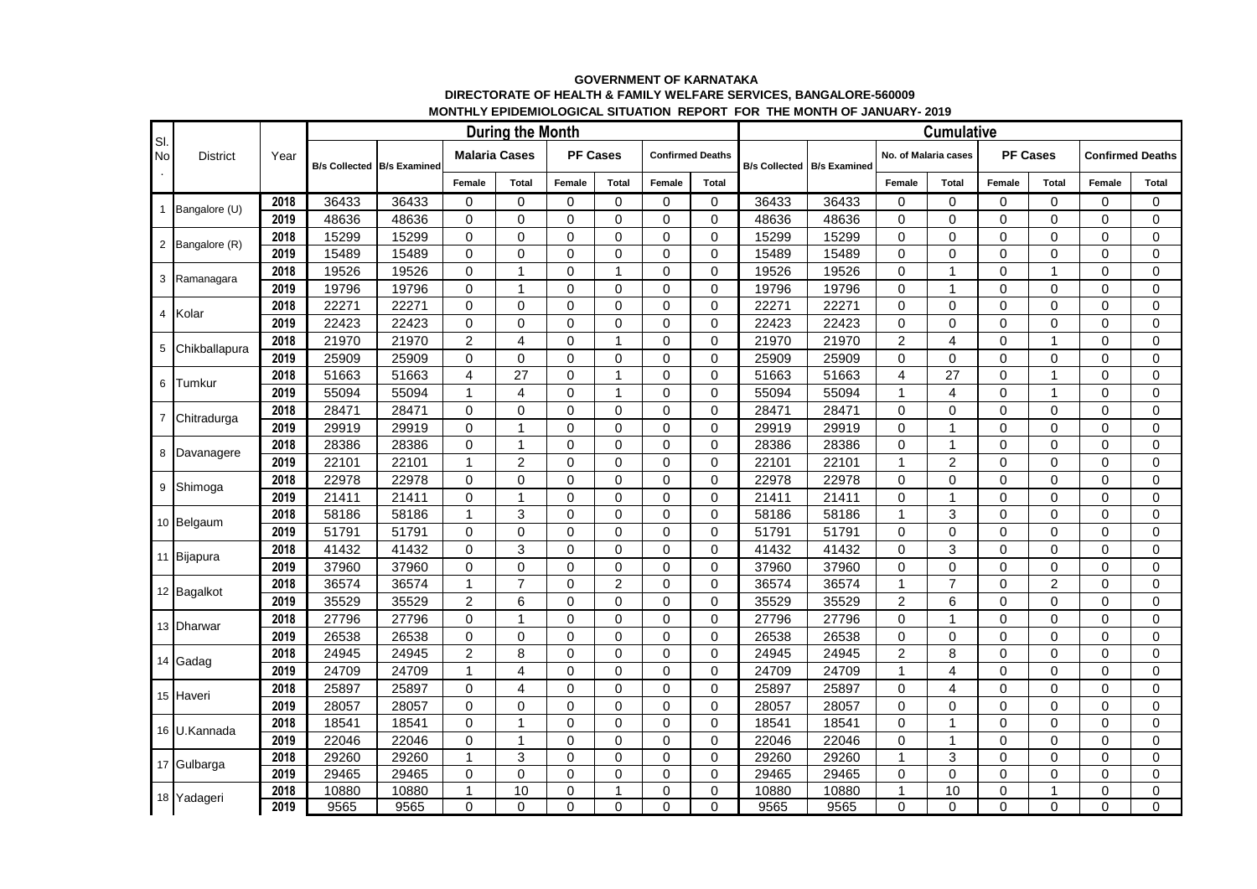## **GOVERNMENT OF KARNATAKA DIRECTORATE OF HEALTH & FAMILY WELFARE SERVICES, BANGALORE-560009 MONTHLY EPIDEMIOLOGICAL SITUATION REPORT FOR THE MONTH OF JANUARY- 2019**

| SI.<br><b>No</b><br>$\bullet$ | <b>District</b> | Year | <b>During the Month</b> |                                     |                      |                |                 |                |                         |              |                      |                     |                         | <b>Cumulative</b> |                 |                |                         |             |  |  |  |  |  |  |  |
|-------------------------------|-----------------|------|-------------------------|-------------------------------------|----------------------|----------------|-----------------|----------------|-------------------------|--------------|----------------------|---------------------|-------------------------|-------------------|-----------------|----------------|-------------------------|-------------|--|--|--|--|--|--|--|
|                               |                 |      |                         | <b>B/s Collected   B/s Examined</b> | <b>Malaria Cases</b> |                | <b>PF Cases</b> |                | <b>Confirmed Deaths</b> |              | <b>B/s Collected</b> | <b>B/s Examined</b> | No. of Malaria cases    |                   | <b>PF Cases</b> |                | <b>Confirmed Deaths</b> |             |  |  |  |  |  |  |  |
|                               |                 |      |                         |                                     | Female               | <b>Total</b>   | Female          | <b>Total</b>   | Female                  | <b>Total</b> |                      |                     | Female                  | <b>Total</b>      | Female          | <b>Total</b>   | Female                  | Total       |  |  |  |  |  |  |  |
|                               | 1 Bangalore (U) | 2018 | 36433                   | 36433                               | 0                    | $\Omega$       | $\Omega$        | $\Omega$       | $\Omega$                | $\Omega$     | 36433                | 36433               | $\mathbf 0$             | 0                 | $\Omega$        | $\Omega$       | $\Omega$                | $\mathbf 0$ |  |  |  |  |  |  |  |
|                               |                 | 2019 | 48636                   | 48636                               | 0                    | $\Omega$       | $\Omega$        | $\Omega$       | $\Omega$                | $\Omega$     | 48636                | 48636               | $\mathbf 0$             | 0                 | $\Omega$        | $\Omega$       | $\Omega$                | 0           |  |  |  |  |  |  |  |
|                               | 2 Bangalore (R) | 2018 | 15299                   | 15299                               | 0                    | $\Omega$       | $\mathbf 0$     | $\Omega$       | $\Omega$                | $\Omega$     | 15299                | 15299               | 0                       | 0                 | 0               | 0              | 0                       | 0           |  |  |  |  |  |  |  |
|                               |                 | 2019 | 15489                   | 15489                               | 0                    | $\Omega$       | $\mathbf 0$     | $\Omega$       | $\Omega$                | $\Omega$     | 15489                | 15489               | $\mathbf 0$             | 0                 | $\Omega$        | $\Omega$       | $\mathbf 0$             | 0           |  |  |  |  |  |  |  |
|                               | 3 Ramanagara    | 2018 | 19526                   | 19526                               | 0                    | 1              | $\Omega$        | 1              | $\Omega$                | $\Omega$     | 19526                | 19526               | $\mathbf 0$             | 1                 | $\Omega$        | $\mathbf{1}$   | $\Omega$                | $\mathbf 0$ |  |  |  |  |  |  |  |
|                               |                 | 2019 | 19796                   | 19796                               | 0                    | 1              | $\mathbf 0$     | $\Omega$       | $\Omega$                | $\Omega$     | 19796                | 19796               | $\mathbf 0$             | 1                 | $\Omega$        | $\Omega$       | $\Omega$                | 0           |  |  |  |  |  |  |  |
|                               | 4 Kolar         | 2018 | 22271                   | 22271                               | 0                    | $\Omega$       | $\mathbf 0$     | $\Omega$       | $\Omega$                | $\Omega$     | 22271                | 22271               | $\mathbf 0$             | 0                 | $\Omega$        | $\Omega$       | $\Omega$                | 0           |  |  |  |  |  |  |  |
|                               |                 | 2019 | 22423                   | 22423                               | 0                    | $\Omega$       | $\Omega$        | $\Omega$       | $\Omega$                | $\Omega$     | 22423                | 22423               | $\mathbf 0$             | 0                 | $\Omega$        | $\Omega$       | $\Omega$                | 0           |  |  |  |  |  |  |  |
| 5                             | Chikballapura   | 2018 | 21970                   | 21970                               | $\overline{2}$       | $\overline{4}$ | $\Omega$        | 1              | $\Omega$                | $\Omega$     | 21970                | 21970               | $\overline{2}$          | 4                 | 0               | $\mathbf{1}$   | $\Omega$                | 0           |  |  |  |  |  |  |  |
|                               |                 | 2019 | 25909                   | 25909                               | 0                    | 0              | $\mathbf 0$     | 0              | 0                       | $\mathbf 0$  | 25909                | 25909               | 0                       | 0                 | 0               | 0              | 0                       | 0           |  |  |  |  |  |  |  |
| 6                             | Tumkur          | 2018 | 51663                   | 51663                               | 4                    | 27             | $\mathbf 0$     | 1              | $\Omega$                | $\Omega$     | 51663                | 51663               | $\overline{\mathbf{4}}$ | 27                | $\Omega$        | 1              | $\Omega$                | $\mathbf 0$ |  |  |  |  |  |  |  |
|                               |                 | 2019 | 55094                   | 55094                               | $\mathbf{1}$         | $\overline{4}$ | $\Omega$        | 1              | $\Omega$                | $\mathbf 0$  | 55094                | 55094               | $\mathbf{1}$            | 4                 | $\Omega$        | $\mathbf{1}$   | $\mathbf{0}$            | 0           |  |  |  |  |  |  |  |
| $\overline{7}$                | Chitradurga     | 2018 | 28471                   | 28471                               | 0                    | $\Omega$       | $\Omega$        | $\Omega$       | $\Omega$                | $\Omega$     | 28471                | 28471               | 0                       | 0                 | $\Omega$        | $\Omega$       | $\Omega$                | 0           |  |  |  |  |  |  |  |
|                               |                 | 2019 | 29919                   | 29919                               | 0                    | 1              | 0               | 0              | 0                       | 0            | 29919                | 29919               | 0                       |                   | 0               | 0              | 0                       | 0           |  |  |  |  |  |  |  |
|                               | 8 Davanagere    | 2018 | 28386                   | 28386                               | 0                    | $\overline{1}$ | $\mathbf 0$     | $\Omega$       | $\Omega$                | $\Omega$     | 28386                | 28386               | $\mathbf 0$             | 1                 | 0               | $\Omega$       | $\Omega$                | 0           |  |  |  |  |  |  |  |
|                               |                 | 2019 | 22101                   | 22101                               | $\mathbf{1}$         | $\overline{2}$ | $\Omega$        | $\mathbf{0}$   | $\Omega$                | $\Omega$     | 22101                | 22101               | $\mathbf{1}$            | $\overline{2}$    | $\Omega$        | $\Omega$       | $\Omega$                | 0           |  |  |  |  |  |  |  |
|                               | 9 Shimoga       | 2018 | 22978                   | 22978                               | 0                    | $\Omega$       | $\Omega$        | $\Omega$       | $\Omega$                | $\Omega$     | 22978                | 22978               | 0                       | 0                 | $\Omega$        | $\Omega$       | $\Omega$                | 0           |  |  |  |  |  |  |  |
|                               |                 | 2019 | 21411                   | 21411                               | 0                    | $\overline{1}$ | $\Omega$        | $\Omega$       | $\Omega$                | $\Omega$     | 21411                | 21411               | $\mathbf 0$             | 1                 | $\Omega$        | 0              | $\Omega$                | $\mathbf 0$ |  |  |  |  |  |  |  |
|                               | 10 Belgaum      | 2018 | 58186                   | 58186                               | $\mathbf{1}$         | 3              | $\mathbf 0$     | $\Omega$       | $\Omega$                | $\mathbf 0$  | 58186                | 58186               | $\mathbf{1}$            | 3                 | $\Omega$        | $\Omega$       | $\mathbf 0$             | 0           |  |  |  |  |  |  |  |
|                               |                 | 2019 | 51791                   | 51791                               | 0                    | $\Omega$       | $\Omega$        | $\mathbf 0$    | $\Omega$                | $\Omega$     | 51791                | 51791               | $\mathbf 0$             | 0                 | $\Omega$        | $\Omega$       | $\Omega$                | $\mathbf 0$ |  |  |  |  |  |  |  |
|                               | 11 Bijapura     | 2018 | 41432                   | 41432                               | 0                    | 3              | $\mathbf 0$     | $\Omega$       | $\Omega$                | $\Omega$     | 41432                | 41432               | $\mathbf 0$             | 3                 | 0               | $\Omega$       | $\Omega$                | $\Omega$    |  |  |  |  |  |  |  |
|                               |                 | 2019 | 37960                   | 37960                               | 0                    | $\Omega$       | $\mathbf 0$     | $\Omega$       | $\Omega$                | $\Omega$     | 37960                | 37960               | $\mathbf 0$             | 0                 | $\Omega$        | $\mathbf 0$    | $\mathbf 0$             | 0           |  |  |  |  |  |  |  |
|                               | 12 Bagalkot     | 2018 | 36574                   | 36574                               | $\mathbf{1}$         | $\overline{7}$ | $\Omega$        | $\overline{2}$ | $\Omega$                | $\Omega$     | 36574                | 36574               | $\mathbf{1}$            | $\overline{7}$    | $\Omega$        | $\overline{2}$ | $\Omega$                | 0           |  |  |  |  |  |  |  |
|                               |                 | 2019 | 35529                   | 35529                               | $\overline{2}$       | 6              | $\Omega$        | $\mathbf 0$    | $\Omega$                | $\Omega$     | 35529                | 35529               | $\overline{c}$          | 6                 | $\overline{0}$  | $\Omega$       | $\Omega$                | 0           |  |  |  |  |  |  |  |
|                               | 13 Dharwar      | 2018 | 27796                   | 27796                               | $\Omega$             | 1              | $\Omega$        | $\Omega$       | $\Omega$                | $\Omega$     | 27796                | 27796               | $\Omega$                | 1                 | $\Omega$        | $\Omega$       | $\Omega$                | $\Omega$    |  |  |  |  |  |  |  |
|                               |                 | 2019 | 26538                   | 26538                               | 0                    | $\mathbf 0$    | $\mathbf 0$     | $\Omega$       | $\Omega$                | $\mathbf 0$  | 26538                | 26538               | 0                       | 0                 | 0               | $\Omega$       | $\mathbf 0$             | 0           |  |  |  |  |  |  |  |
|                               | 14 Gadag        | 2018 | 24945                   | 24945                               | $\overline{c}$       | 8              | $\Omega$        | $\mathbf 0$    | $\Omega$                | $\Omega$     | 24945                | 24945               | $\overline{c}$          | 8                 | $\Omega$        | $\Omega$       | $\Omega$                | $\mathbf 0$ |  |  |  |  |  |  |  |
|                               |                 | 2019 | 24709                   | 24709                               | 1                    | 4              | $\mathbf 0$     | 0              | 0                       | 0            | 24709                | 24709               | $\mathbf 1$             | 4                 | 0               | $\Omega$       | $\Omega$                | 0           |  |  |  |  |  |  |  |
|                               | 15 Haveri       | 2018 | 25897                   | 25897                               | 0                    | 4              | $\mathbf 0$     | 0              | $\Omega$                | 0            | 25897                | 25897               | 0                       | 4                 | 0               | $\Omega$       | 0                       | 0           |  |  |  |  |  |  |  |
|                               |                 | 2019 | 28057                   | 28057                               | 0                    | 0              | $\mathbf 0$     | $\Omega$       | $\Omega$                | $\mathbf 0$  | 28057                | 28057               | $\pmb{0}$               | 0                 | 0               | $\Omega$       | 0                       | 0           |  |  |  |  |  |  |  |
|                               | 16 U.Kannada    | 2018 | 18541                   | 18541                               | $\overline{0}$       | $\overline{1}$ | $\Omega$        | $\mathbf 0$    | $\Omega$                | $\Omega$     | 18541                | 18541               | $\mathbf 0$             |                   | $\overline{0}$  | $\Omega$       | $\Omega$                | $\mathbf 0$ |  |  |  |  |  |  |  |
|                               |                 | 2019 | 22046                   | 22046                               | 0                    | $\overline{1}$ | $\Omega$        | $\Omega$       | $\Omega$                | $\Omega$     | 22046                | 22046               | $\mathbf 0$             | 1                 | 0               | $\Omega$       | $\Omega$                | 0           |  |  |  |  |  |  |  |
|                               | 17 Gulbarga     | 2018 | 29260                   | 29260                               | $\mathbf{1}$         | 3              | $\mathbf 0$     | $\Omega$       | 0                       | $\mathbf 0$  | 29260                | 29260               | $\mathbf{1}$            | 3                 | 0               | $\Omega$       | $\mathbf{0}$            | $\mathbf 0$ |  |  |  |  |  |  |  |
|                               |                 | 2019 | 29465                   | 29465                               | 0                    | 0              | $\mathbf 0$     | $\Omega$       | 0                       | $\mathbf 0$  | 29465                | 29465               | 0                       | 0                 | 0               | 0              | 0                       | 0           |  |  |  |  |  |  |  |
|                               | 18 Yadageri     | 2018 | 10880                   | 10880                               | 1                    | 10             | $\mathbf 0$     |                | 0                       | $\mathbf 0$  | 10880                | 10880               | $\mathbf{1}$            | 10                | 0               | $\mathbf{1}$   | $\mathbf{0}$            | 0           |  |  |  |  |  |  |  |
|                               |                 | 2019 | 9565                    | 9565                                | 0                    | $\Omega$       | $\Omega$        | $\Omega$       | $\Omega$                | $\Omega$     | 9565                 | 9565                | $\Omega$                | 0                 | $\Omega$        | $\Omega$       | $\Omega$                | $\Omega$    |  |  |  |  |  |  |  |